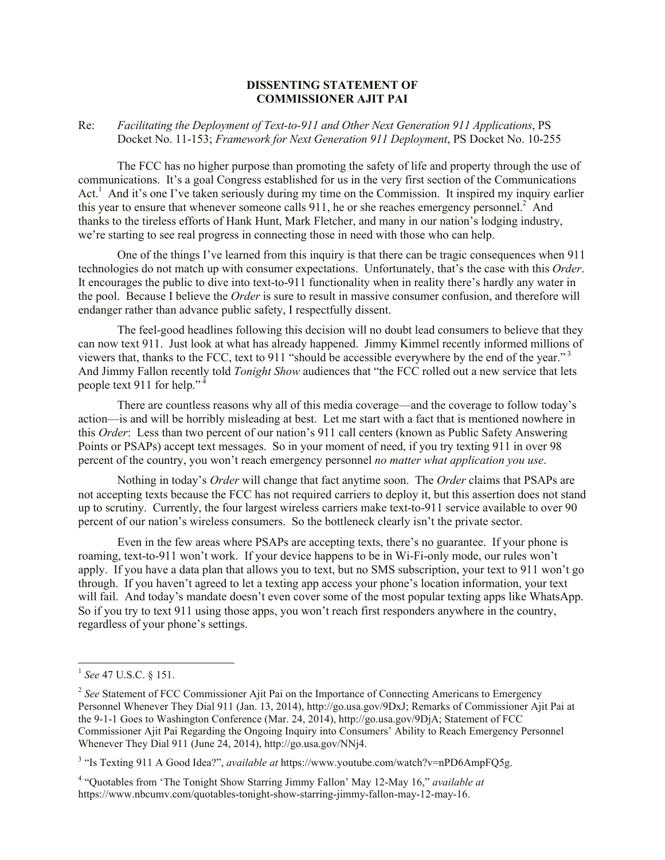## **DISSENTING STATEMENT OF COMMISSIONER AJIT PAI**

## Re: *Facilitating the Deployment of Text-to-911 and Other Next Generation 911 Applications*, PS Docket No. 11-153; *Framework for Next Generation 911 Deployment*, PS Docket No. 10-255

The FCC has no higher purpose than promoting the safety of life and property through the use of communications. It's a goal Congress established for us in the very first section of the Communications Act.<sup>1</sup> And it's one I've taken seriously during my time on the Commission. It inspired my inquiry earlier this year to ensure that whenever someone calls  $911$ , he or she reaches emergency personnel.<sup>2</sup> And thanks to the tireless efforts of Hank Hunt, Mark Fletcher, and many in our nation's lodging industry, we're starting to see real progress in connecting those in need with those who can help.

One of the things I've learned from this inquiry is that there can be tragic consequences when 911 technologies do not match up with consumer expectations. Unfortunately, that's the case with this *Order*. It encourages the public to dive into text-to-911 functionality when in reality there's hardly any water in the pool. Because I believe the *Order* is sure to result in massive consumer confusion, and therefore will endanger rather than advance public safety, I respectfully dissent.

The feel-good headlines following this decision will no doubt lead consumers to believe that they can now text 911. Just look at what has already happened. Jimmy Kimmel recently informed millions of viewers that, thanks to the FCC, text to 911 "should be accessible everywhere by the end of the year." <sup>3</sup> And Jimmy Fallon recently told *Tonight Show* audiences that "the FCC rolled out a new service that lets people text 911 for help."<sup>4</sup>

There are countless reasons why all of this media coverage—and the coverage to follow today's action—is and will be horribly misleading at best. Let me start with a fact that is mentioned nowhere in this *Order*: Less than two percent of our nation's 911 call centers (known as Public Safety Answering Points or PSAPs) accept text messages. So in your moment of need, if you try texting 911 in over 98 percent of the country, you won't reach emergency personnel *no matter what application you use*.

Nothing in today's *Order* will change that fact anytime soon. The *Order* claims that PSAPs are not accepting texts because the FCC has not required carriers to deploy it, but this assertion does not stand up to scrutiny. Currently, the four largest wireless carriers make text-to-911 service available to over 90 percent of our nation's wireless consumers. So the bottleneck clearly isn't the private sector.

Even in the few areas where PSAPs are accepting texts, there's no guarantee. If your phone is roaming, text-to-911 won't work. If your device happens to be in Wi-Fi-only mode, our rules won't apply. If you have a data plan that allows you to text, but no SMS subscription, your text to 911 won't go through. If you haven't agreed to let a texting app access your phone's location information, your text will fail. And today's mandate doesn't even cover some of the most popular texting apps like WhatsApp. So if you try to text 911 using those apps, you won't reach first responders anywhere in the country, regardless of your phone's settings.

l

<sup>1</sup> *See* 47 U.S.C. § 151.

<sup>&</sup>lt;sup>2</sup> See Statement of FCC Commissioner Ajit Pai on the Importance of Connecting Americans to Emergency Personnel Whenever They Dial 911 (Jan. 13, 2014), http://go.usa.gov/9DxJ; Remarks of Commissioner Ajit Pai at the 9-1-1 Goes to Washington Conference (Mar. 24, 2014), http://go.usa.gov/9DjA; Statement of FCC Commissioner Ajit Pai Regarding the Ongoing Inquiry into Consumers' Ability to Reach Emergency Personnel Whenever They Dial 911 (June 24, 2014), http://go.usa.gov/NNj4.

<sup>&</sup>lt;sup>3</sup> "Is Texting 911 A Good Idea?", *available at* https://www.youtube.com/watch?v=nPD6AmpFQ5g.

<sup>4</sup> "Quotables from 'The Tonight Show Starring Jimmy Fallon' May 12-May 16," *available at*  https://www.nbcumv.com/quotables-tonight-show-starring-jimmy-fallon-may-12-may-16.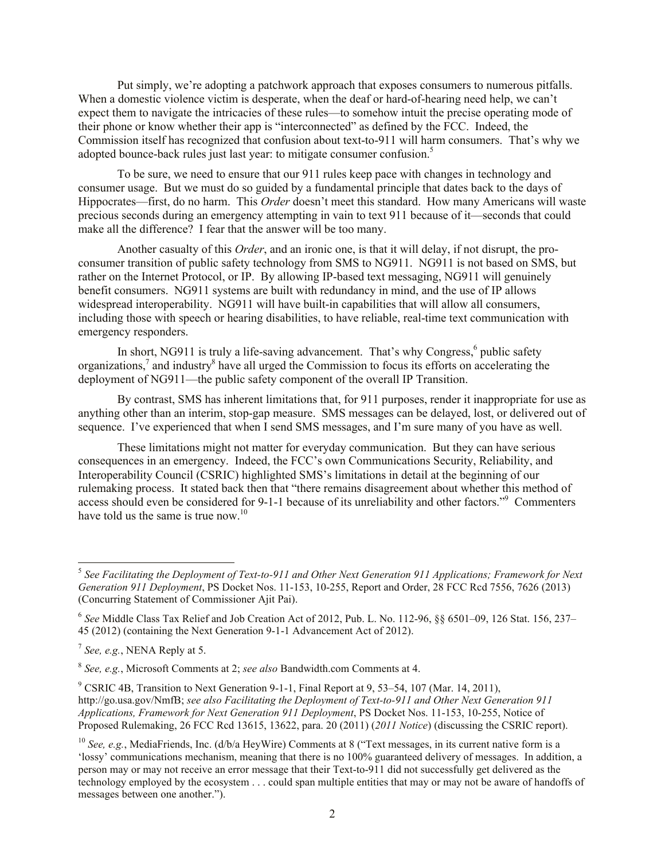Put simply, we're adopting a patchwork approach that exposes consumers to numerous pitfalls. When a domestic violence victim is desperate, when the deaf or hard-of-hearing need help, we can't expect them to navigate the intricacies of these rules—to somehow intuit the precise operating mode of their phone or know whether their app is "interconnected" as defined by the FCC. Indeed, the Commission itself has recognized that confusion about text-to-911 will harm consumers. That's why we adopted bounce-back rules just last year: to mitigate consumer confusion.<sup>5</sup>

To be sure, we need to ensure that our 911 rules keep pace with changes in technology and consumer usage. But we must do so guided by a fundamental principle that dates back to the days of Hippocrates—first, do no harm. This *Order* doesn't meet this standard. How many Americans will waste precious seconds during an emergency attempting in vain to text 911 because of it—seconds that could make all the difference? I fear that the answer will be too many.

Another casualty of this *Order*, and an ironic one, is that it will delay, if not disrupt, the proconsumer transition of public safety technology from SMS to NG911. NG911 is not based on SMS, but rather on the Internet Protocol, or IP. By allowing IP-based text messaging, NG911 will genuinely benefit consumers. NG911 systems are built with redundancy in mind, and the use of IP allows widespread interoperability. NG911 will have built-in capabilities that will allow all consumers, including those with speech or hearing disabilities, to have reliable, real-time text communication with emergency responders.

In short, NG911 is truly a life-saving advancement. That's why Congress,<sup>6</sup> public safety organizations,<sup>7</sup> and industry<sup>8</sup> have all urged the Commission to focus its efforts on accelerating the deployment of NG911—the public safety component of the overall IP Transition.

By contrast, SMS has inherent limitations that, for 911 purposes, render it inappropriate for use as anything other than an interim, stop-gap measure. SMS messages can be delayed, lost, or delivered out of sequence. I've experienced that when I send SMS messages, and I'm sure many of you have as well.

These limitations might not matter for everyday communication. But they can have serious consequences in an emergency. Indeed, the FCC's own Communications Security, Reliability, and Interoperability Council (CSRIC) highlighted SMS's limitations in detail at the beginning of our rulemaking process. It stated back then that "there remains disagreement about whether this method of access should even be considered for 9-1-1 because of its unreliability and other factors."<sup>9</sup> Commenters have told us the same is true now.<sup>10</sup>

 $\overline{\phantom{a}}$ 

<sup>5</sup> *See Facilitating the Deployment of Text-to-911 and Other Next Generation 911 Applications; Framework for Next Generation 911 Deployment*, PS Docket Nos. 11-153, 10-255, Report and Order, 28 FCC Rcd 7556, 7626 (2013) (Concurring Statement of Commissioner Ajit Pai).

<sup>6</sup> *See* Middle Class Tax Relief and Job Creation Act of 2012, Pub. L. No. 112-96, §§ 6501–09, 126 Stat. 156, 237– 45 (2012) (containing the Next Generation 9-1-1 Advancement Act of 2012).

<sup>7</sup> *See, e.g.*, NENA Reply at 5.

<sup>8</sup> *See, e.g.*, Microsoft Comments at 2; *see also* Bandwidth.com Comments at 4.

<sup>&</sup>lt;sup>9</sup> CSRIC 4B, Transition to Next Generation 9-1-1, Final Report at 9, 53–54, 107 (Mar. 14, 2011), http://go.usa.gov/NmfB; *see also Facilitating the Deployment of Text-to-911 and Other Next Generation 911 Applications, Framework for Next Generation 911 Deployment*, PS Docket Nos. 11-153, 10-255, Notice of Proposed Rulemaking, 26 FCC Rcd 13615, 13622, para. 20 (2011) (*2011 Notice*) (discussing the CSRIC report).

<sup>&</sup>lt;sup>10</sup> *See, e.g.*, MediaFriends, Inc. (d/b/a HeyWire) Comments at 8 ("Text messages, in its current native form is a 'lossy' communications mechanism, meaning that there is no 100% guaranteed delivery of messages. In addition, a person may or may not receive an error message that their Text-to-911 did not successfully get delivered as the technology employed by the ecosystem . . . could span multiple entities that may or may not be aware of handoffs of messages between one another.").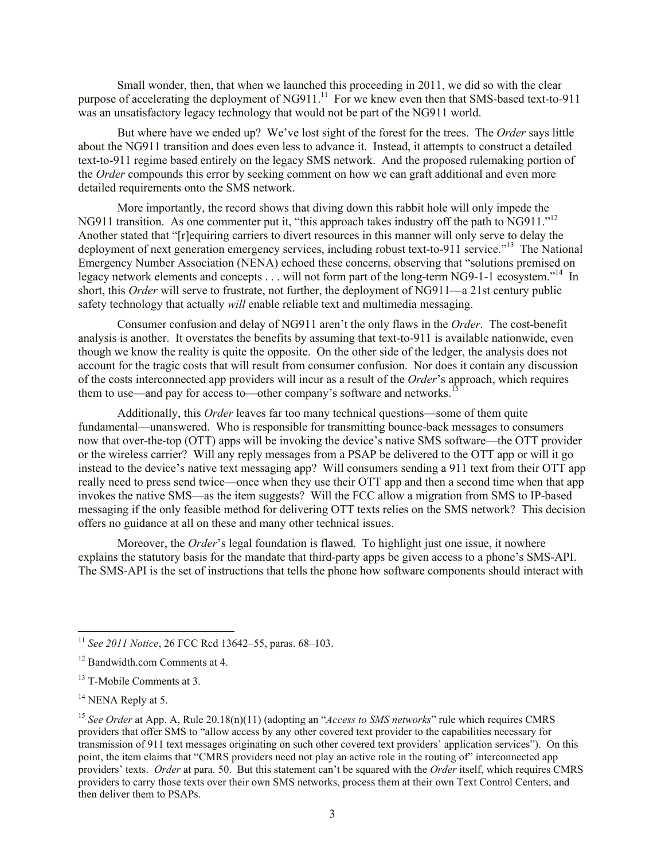Small wonder, then, that when we launched this proceeding in 2011, we did so with the clear purpose of accelerating the deployment of NG911.<sup>11</sup> For we knew even then that SMS-based text-to-911 was an unsatisfactory legacy technology that would not be part of the NG911 world.

But where have we ended up? We've lost sight of the forest for the trees. The *Order* says little about the NG911 transition and does even less to advance it. Instead, it attempts to construct a detailed text-to-911 regime based entirely on the legacy SMS network. And the proposed rulemaking portion of the *Order* compounds this error by seeking comment on how we can graft additional and even more detailed requirements onto the SMS network.

More importantly, the record shows that diving down this rabbit hole will only impede the NG911 transition. As one commenter put it, "this approach takes industry off the path to NG911."<sup>12</sup> Another stated that "[r]equiring carriers to divert resources in this manner will only serve to delay the deployment of next generation emergency services, including robust text-to-911 service."<sup>13</sup> The National Emergency Number Association (NENA) echoed these concerns, observing that "solutions premised on legacy network elements and concepts . . . will not form part of the long-term NG9-1-1 ecosystem."<sup>14</sup> In short, this *Order* will serve to frustrate, not further, the deployment of NG911—a 21st century public safety technology that actually *will* enable reliable text and multimedia messaging.

Consumer confusion and delay of NG911 aren't the only flaws in the *Order*. The cost-benefit analysis is another. It overstates the benefits by assuming that text-to-911 is available nationwide, even though we know the reality is quite the opposite. On the other side of the ledger, the analysis does not account for the tragic costs that will result from consumer confusion. Nor does it contain any discussion of the costs interconnected app providers will incur as a result of the *Order*'s approach, which requires them to use—and pay for access to—other company's software and networks.<sup>1</sup>

Additionally, this *Order* leaves far too many technical questions—some of them quite fundamental—unanswered. Who is responsible for transmitting bounce-back messages to consumers now that over-the-top (OTT) apps will be invoking the device's native SMS software—the OTT provider or the wireless carrier? Will any reply messages from a PSAP be delivered to the OTT app or will it go instead to the device's native text messaging app? Will consumers sending a 911 text from their OTT app really need to press send twice—once when they use their OTT app and then a second time when that app invokes the native SMS—as the item suggests? Will the FCC allow a migration from SMS to IP-based messaging if the only feasible method for delivering OTT texts relies on the SMS network? This decision offers no guidance at all on these and many other technical issues.

Moreover, the *Order*'s legal foundation is flawed. To highlight just one issue, it nowhere explains the statutory basis for the mandate that third-party apps be given access to a phone's SMS-API. The SMS-API is the set of instructions that tells the phone how software components should interact with

l

<sup>11</sup> *See 2011 Notice*, 26 FCC Rcd 13642–55, paras. 68–103.

<sup>12</sup> Bandwidth.com Comments at 4.

<sup>&</sup>lt;sup>13</sup> T-Mobile Comments at 3.

<sup>&</sup>lt;sup>14</sup> NENA Reply at 5.

<sup>&</sup>lt;sup>15</sup> See Order at App. A, Rule 20.18(n)(11) (adopting an "*Access to SMS networks*" rule which requires CMRS providers that offer SMS to "allow access by any other covered text provider to the capabilities necessary for transmission of 911 text messages originating on such other covered text providers' application services").On this point, the item claims that "CMRS providers need not play an active role in the routing of" interconnected app providers' texts. *Order* at para. 50. But this statement can't be squared with the *Order* itself, which requires CMRS providers to carry those texts over their own SMS networks, process them at their own Text Control Centers, and then deliver them to PSAPs.